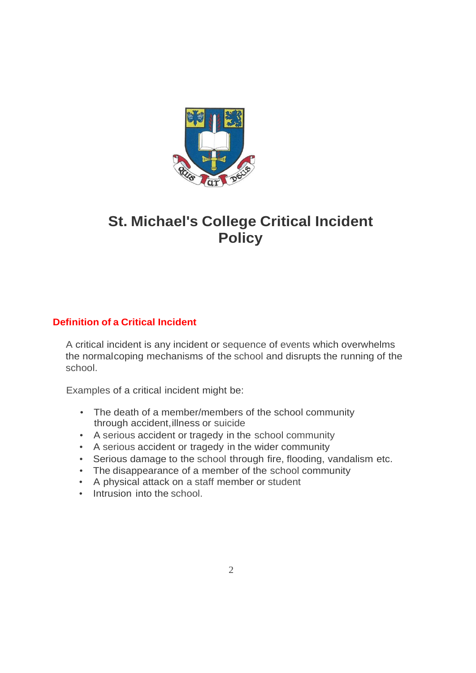

# **St. Michael's College Critical Incident Policy**

### **Definition of a Critical Incident**

A critical incident is any incident or sequence of events which overwhelms the normalcoping mechanisms of the school and disrupts the running of the school.

Examples of a critical incident might be:

- The death of a member/members of the school community through accident, illness or suicide
- A serious accident or tragedy in the school community
- A serious accident or tragedy in the wider community
- Serious damage to the school through fire, flooding, vandalism etc.
- The disappearance of a member of the school community
- A physical attack on a staff member or student
- Intrusion into the school.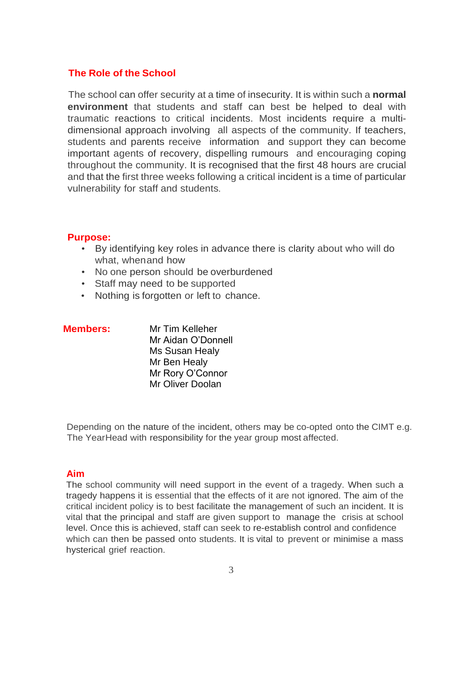#### **The Role of the School**

The school can offer security at a time of insecurity. It is within such a **normal environment** that students and staff can best be helped to deal with traumatic reactions to critical incidents. Most incidents require a multidimensional approach involving all aspects of the community. If teachers, students and parents receive information and support they can become important agents of recovery, dispelling rumours and encouraging coping throughout the community. It is recognised that the first 48 hours are crucial and that the first three weeks following a critical incident is a time of particular vulnerability for staff and students.

#### **Purpose:**

- By identifying key roles in advance there is clarity about who will do what, whenand how
- No one person should be overburdened
- Staff may need to be supported
- Nothing is forgotten or left to chance.

| <b>Members:</b> | Mr Tim Kelleher    |
|-----------------|--------------------|
|                 | Mr Aidan O'Donnell |
|                 | Ms Susan Healy     |
|                 | Mr Ben Healy       |
|                 | Mr Rory O'Connor   |
|                 | Mr Oliver Doolan   |

Depending on the nature of the incident, others may be co-opted onto the CIMT e.g. The YearHead with responsibility for the year group most affected.

#### **Aim**

The school community will need support in the event of a tragedy. When such a tragedy happens it is essential that the effects of it are not ignored. The aim of the critical incident policy is to best facilitate the management of such an incident. It is vital that the principal and staff are given support to manage the crisis at school level. Once this is achieved, staff can seek to re-establish control and confidence which can then be passed onto students. It is vital to prevent or minimise a mass hysterical grief reaction.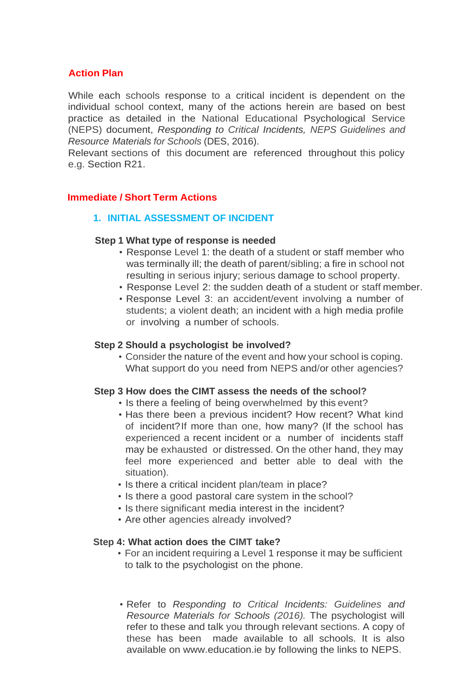### **Action Plan**

While each schools response to a critical incident is dependent on the individual school context, many of the actions herein are based on best practice as detailed in the National Educational Psychological Service (NEPS) document, *Responding to Critical Incidents, NEPS Guidelines and Resource Materials for Schools* (DES, 2016).

Relevant sections of this document are referenced throughout this policy e.g. Section R21.

#### **Immediate / Short Term Actions**

#### **1. INITIAL ASSESSMENT OF INCIDENT**

#### **Step 1 What type of response is needed**

- Response Level 1: the death of a student or staff member who was terminally ill; the death of parent/sibling; a fire in school not resulting in serious injury; serious damage to school property.
- Response Level 2: the sudden death of a student or staff member.
- Response Level 3: an accident/event involving a number of students; a violent death; an incident with a high media profile or involving a number of schools.

#### **Step 2 Should a psychologist be involved?**

• Consider the nature of the event and how your school is coping. What support do you need from NEPS and/or other agencies?

#### **Step 3 How does the CIMT assess the needs of the school?**

- Is there a feeling of being overwhelmed by this event?
- Has there been a previous incident? How recent? What kind of incident?If more than one, how many? (If the school has experienced a recent incident or a number of incidents staff may be exhausted or distressed. On the other hand, they may feel more experienced and better able to deal with the situation).
- Is there a critical incident plan/team in place?
- Is there a good pastoral care system in the school?
- Is there significant media interest in the incident?
- Are other agencies already involved?

#### **Step 4: What action does the CIMT take?**

- For an incident requiring a Level 1 response it may be sufficient to talk to the psychologist on the phone.
- Refer to *Responding to Critical Incidents: Guidelines and Resource Materials for Schools (2016).* The psychologist will refer to these and talk you through relevant sections. A copy of these has been made available to all schools. It is also available on [www.education.ie](http://www.education.ie/) by following the links to NEPS.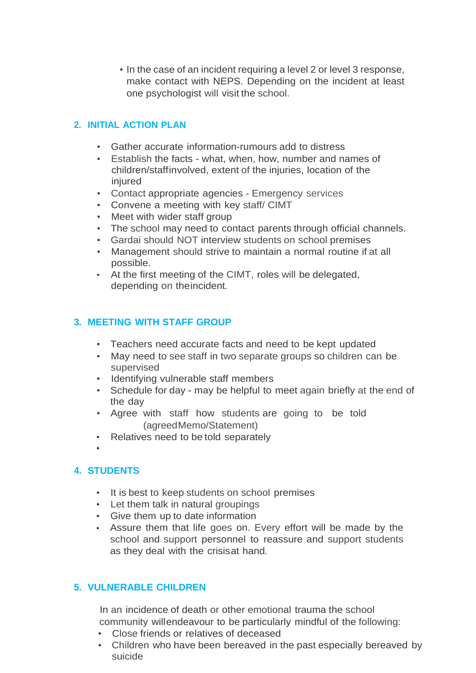• In the case of an incident requiring a level 2 or level 3 response, make contact with NEPS. Depending on the incident at least one psychologist will visit the school.

#### **2. INITIAL ACTION PLAN**

- Gather accurate information-rumours add to distress
- Establish the facts what, when, how, number and names of children/staffinvolved, extent of the injuries, location of the injured
- Contact appropriate agencies Emergency services
- Convene a meeting with key staff/ CIMT
- Meet with wider staff group
- The school may need to contact parents through official channels.
- Gardai should NOT interview students on school premises
- Management should strive to maintain a normal routine if at all possible.
- At the first meeting of the CIMT, roles will be delegated, depending on theincident.

#### **3. MEETING WITH STAFF GROUP**

- Teachers need accurate facts and need to be kept updated
- May need to see staff in two separate groups so children can be supervised
- Identifying vulnerable staff members
- Schedule for day may be helpful to meet again briefly at the end of the day
- Agree with staff how students are going to be told (agreedMemo/Statement)
- Relatives need to be told separately
- •

#### **4. STUDENTS**

- It is best to keep students on school premises
- Let them talk in natural groupings
- Give them up to date information
- Assure them that life goes on. Every effort will be made by the school and support personnel to reassure and support students as they deal with the crisisat hand.

#### **5. VULNERABLE CHILDREN**

In an incidence of death or other emotional trauma the school community willendeavour to be particularly mindful of the following:

- Close friends or relatives of deceased
- Children who have been bereaved in the past especially bereaved by suicide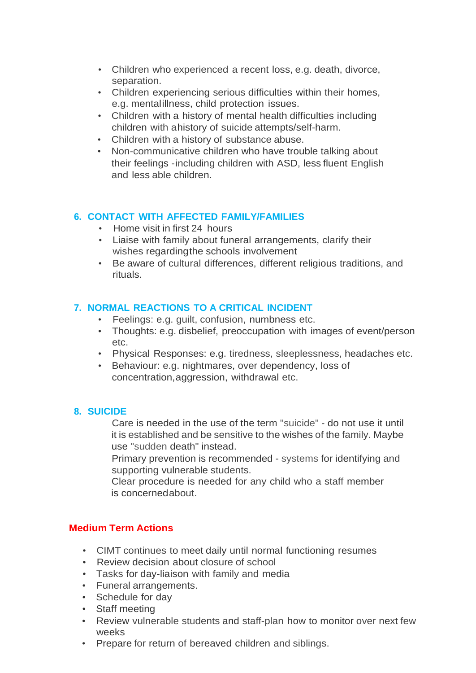- Children who experienced a recent loss, e.g. death, divorce, separation.
- Children experiencing serious difficulties within their homes, e.g. mentalillness, child protection issues.
- Children with a history of mental health difficulties including children with ahistory of suicide attempts/self-harm.
- Children with a history of substance abuse.
- Non-communicative children who have trouble talking about their feelings -including children with ASD, less fluent English and less able children.

#### **6. CONTACT WITH AFFECTED FAMILY/FAMILIES**

- Home visit in first 24 hours
- Liaise with family about funeral arrangements, clarify their wishes regardingthe schools involvement
- Be aware of cultural differences, different religious traditions, and rituals.

#### **7. NORMAL REACTIONS TO A CRITICAL INCIDENT**

- Feelings: e.g. guilt, confusion, numbness etc.
- Thoughts: e.g. disbelief, preoccupation with images of event/person etc.
- Physical Responses: e.g. tiredness, sleeplessness, headaches etc.
- Behaviour: e.g. nightmares, over dependency, loss of concentration,aggression, withdrawal etc.

### **8. SUICIDE**

Care is needed in the use of the term "suicide" - do not use it until it is established and be sensitive to the wishes of the family. Maybe use "sudden death" instead.

Primary prevention is recommended - systems for identifying and supporting vulnerable students.

Clear procedure is needed for any child who a staff member is concernedabout.

### **Medium Term Actions**

- CIMT continues to meet daily until normal functioning resumes
- Review decision about closure of school
- Tasks for day-liaison with family and media
- Funeral arrangements.
- Schedule for day
- Staff meeting
- Review vulnerable students and staff-plan how to monitor over next few weeks
- Prepare for return of bereaved children and siblings.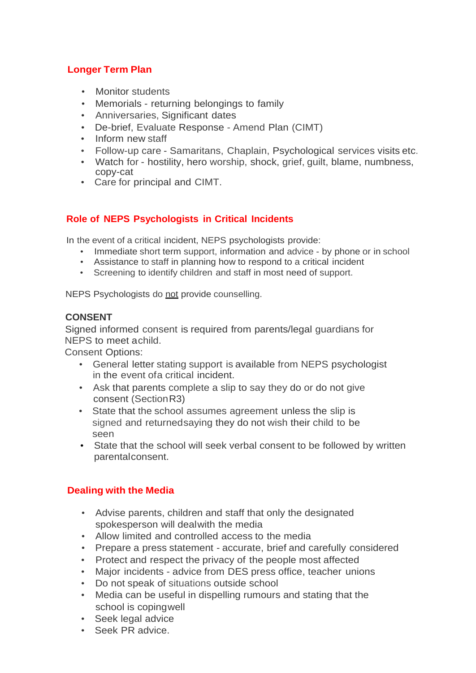### **Longer Term Plan**

- Monitor students
- Memorials returning belongings to family
- Anniversaries, Significant dates
- De-brief, Evaluate Response Amend Plan (CIMT)
- Inform new staff
- Follow-up care Samaritans, Chaplain, Psychological services visits etc.
- Watch for hostility, hero worship, shock, grief, guilt, blame, numbness, copy-cat
- Care for principal and CIMT.

### **Role of NEPS Psychologists in Critical Incidents**

In the event of a critical incident, NEPS psychologists provide:

- Immediate short term support, information and advice by phone or in school
- Assistance to staff in planning how to respond to a critical incident
- Screening to identify children and staff in most need of support.

NEPS Psychologists do not provide counselling.

#### **CONSENT**

Signed informed consent is required from parents/legal guardians for NEPS to meet achild.

Consent Options:

- General letter stating support is available from NEPS psychologist in the event ofa critical incident.
- Ask that parents complete a slip to say they do or do not give consent (SectionR3)
- State that the school assumes agreement unless the slip is signed and returnedsaying they do not wish their child to be seen
- State that the school will seek verbal consent to be followed by written parentalconsent.

### **Dealing with the Media**

- Advise parents, children and staff that only the designated spokesperson will dealwith the media
- Allow limited and controlled access to the media
- Prepare a press statement accurate, brief and carefully considered
- Protect and respect the privacy of the people most affected
- Major incidents advice from DES press office, teacher unions
- Do not speak of situations outside school
- Media can be useful in dispelling rumours and stating that the school is copingwell
- Seek legal advice
- Seek PR advice.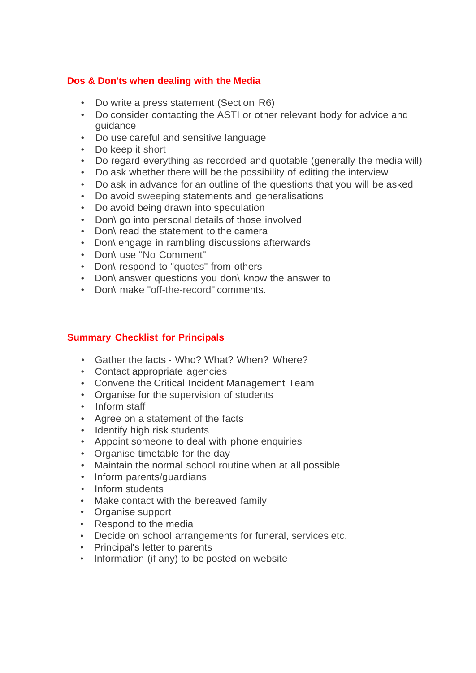### **Dos & Don'ts when dealing with the Media**

- Do write a press statement (Section R6)
- Do consider contacting the ASTI or other relevant body for advice and guidance
- Do use careful and sensitive language
- Do keep it short
- Do regard everything as recorded and quotable (generally the media will)
- Do ask whether there will be the possibility of editing the interview
- Do ask in advance for an outline of the questions that you will be asked
- Do avoid sweeping statements and generalisations
- Do avoid being drawn into speculation
- Don\ go into personal details of those involved
- Don\ read the statement to the camera
- Don\ engage in rambling discussions afterwards
- Don\ use ''No Comment"
- Don\ respond to "quotes" from others
- Don\ answer questions you don\ know the answer to
- Don\ make "off-the-record" comments.

#### **Summary Checklist for Principals**

- Gather the facts Who? What? When? Where?
- Contact appropriate agencies
- Convene the Critical Incident Management Team
- Organise for the supervision of students
- Inform staff
- Agree on a statement of the facts
- Identify high risk students
- Appoint someone to deal with phone enquiries
- Organise timetable for the day
- Maintain the normal school routine when at all possible
- Inform parents/guardians
- Inform students
- Make contact with the bereaved family
- Organise support
- Respond to the media
- Decide on school arrangements for funeral, services etc.
- Principal's letter to parents
- Information (if any) to be posted on website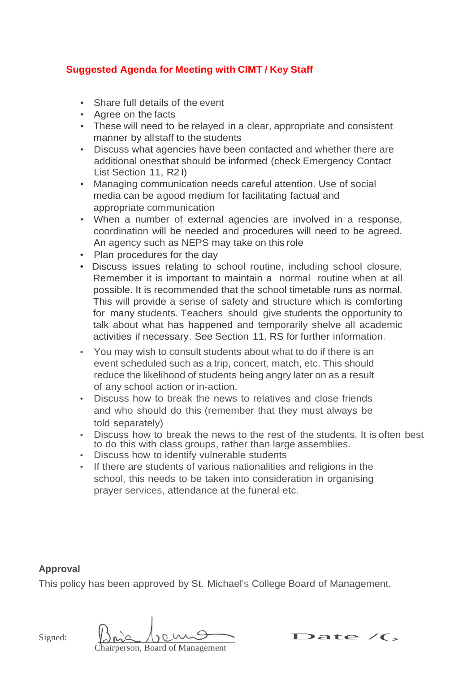### **Suggested Agenda for Meeting with CIMT / Key Staff**

- Share full details of the event
- Agree on the facts
- These will need to be relayed in a clear, appropriate and consistent manner by allstaff to the students
- Discuss what agencies have been contacted and whether there are additional onesthat should be informed (check Emergency Contact List Section 11, R2 I)
- Managing communication needs careful attention. Use of social media can be agood medium for facilitating factual and appropriate communication
- When a number of external agencies are involved in a response, coordination will be needed and procedures will need to be agreed. An agency such as NEPS may take on this role
- Plan procedures for the day
- Discuss issues relating to school routine, including school closure. Remember it is important to maintain a normal routine when at all possible. It is recommended that the school timetable runs as normal. This will provide a sense of safety and structure which is comforting for many students. Teachers should give students the opportunity to talk about what has happened and temporarily shelve all academic activities if necessary. See Section 11, RS for further information.
- You may wish to consult students about what to do if there is an event scheduled such as a trip, concert, match, etc. This should reduce the likelihood of students being angry later on as a result of any school action or in-action.
- Discuss how to break the news to relatives and close friends and who should do this (remember that they must always be told separately)
- Discuss how to break the news to the rest of the students. It is often best to do this with class groups, rather than large assemblies.
- Discuss how to identify vulnerable students
- If there are students of various nationalities and religions in the school, this needs to be taken into consideration in organising prayer services, attendance at the funeral etc.

#### **Approval**

This policy has been approved by St. Michael's College Board of Management.

Signed:

hairperson, Board of Management

Date  $\sqrt{\zeta}$ ,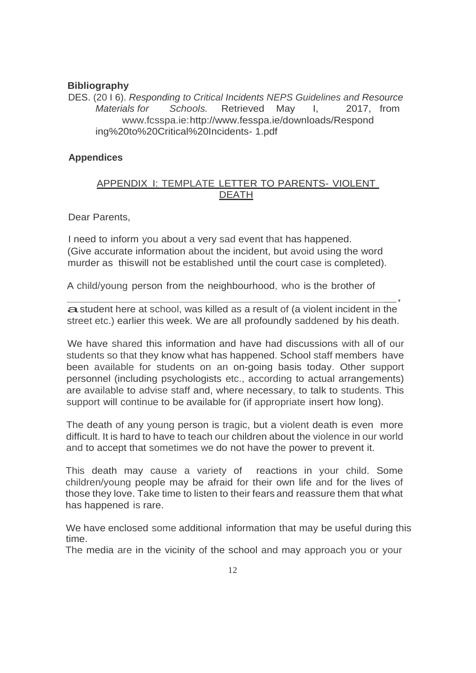#### **Bibliography**

DES. (20 I 6). *Responding to Critical Incidents NEPS Guidelines and Resource Materials for Schools.* Retrieved May I, 2017, from [www.fcsspa.ie:](http://www.fcsspa.ie/)[http://www.fesspa.ie/downl](http://www.fesspa.ie/down)oads/Respond ing%20to%20Critical%20Incidents- 1.pdf

#### **Appendices**

#### APPENDIX I: TEMPLATE LETTER TO PARENTS- VIOLENT DEATH

Dear Parents,

I need to inform you about a very sad event that has happened. (Give accurate information about the incident, but avoid using the word murder as thiswill not be established until the court case is completed).

A child/young person from the neighbourhood, who is the brother of

 $\overline{\phantom{a}}$ a student here at school, was killed as a result of (a violent incident in the street etc.) earlier this week. We are all profoundly saddened by his death.

We have shared this information and have had discussions with all of our students so that they know what has happened. School staff members have been available for students on an on-going basis today. Other support personnel (including psychologists etc., according to actual arrangements) are available to advise staff and, where necessary, to talk to students. This support will continue to be available for (if appropriate insert how long).

The death of any young person is tragic, but a violent death is even more difficult. It is hard to have to teach our children about the violence in our world and to accept that sometimes we do not have the power to prevent it.

This death may cause a variety of reactions in your child. Some children/young people may be afraid for their own life and for the lives of those they love. Take time to listen to their fears and reassure them that what has happened is rare.

We have enclosed some additional information that may be useful during this time.

The media are in the vicinity of the school and may approach you or your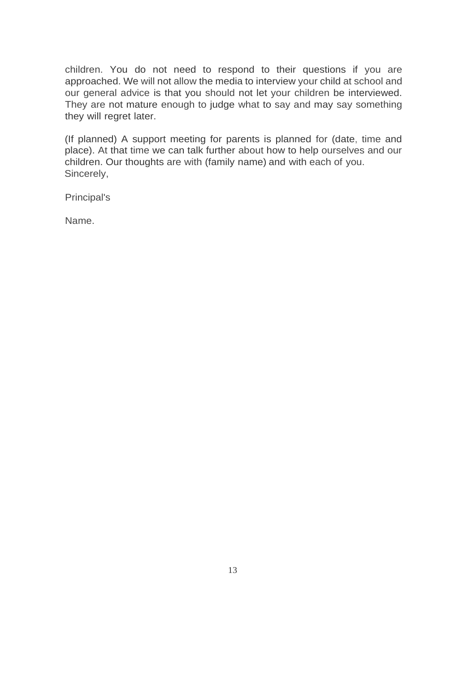children. You do not need to respond to their questions if you are approached. We will not allow the media to interview your child at school and our general advice is that you should not let your children be interviewed. They are not mature enough to judge what to say and may say something they will regret later.

(If planned) A support meeting for parents is planned for (date, time and place). At that time we can talk further about how to help ourselves and our children. Our thoughts are with (family name) and with each of you. Sincerely,

Principal's

Name.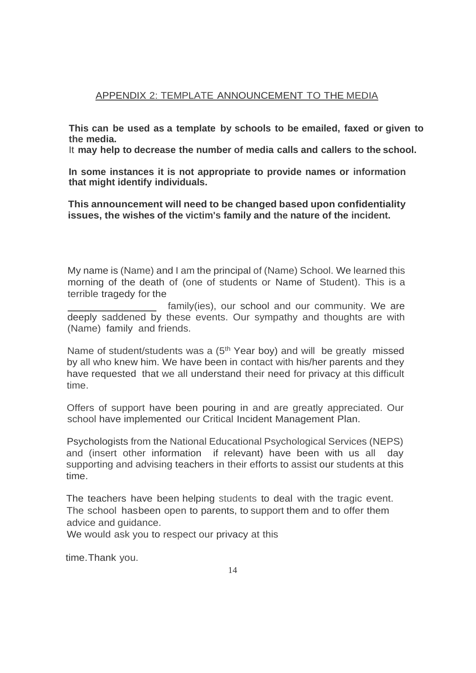### APPENDIX 2: TEMPLATE ANNOUNCEMENT TO THE MEDIA

**This can be used as a template by schools to be emailed, faxed or given to the media.**

It **may help to decrease the number of media calls and callers to the school.**

**In some instances it is not appropriate to provide names or information that might identify individuals.**

**This announcement will need to be changed based upon confidentiality issues, the wishes of the victim's family and the nature of the incident.**

My name is (Name) and I am the principal of (Name) School. We learned this morning of the death of (one of students or Name of Student). This is a terrible tragedy for the

 family(ies), our school and our community. We are deeply saddened by these events. Our sympathy and thoughts are with (Name) family and friends.

Name of student/students was a (5<sup>th</sup> Year boy) and will be greatly missed by all who knew him. We have been in contact with his/her parents and they have requested that we all understand their need for privacy at this difficult time.

Offers of support have been pouring in and are greatly appreciated. Our school have implemented our Critical Incident Management Plan.

Psychologists from the National Educational Psychological Services (NEPS) and (insert other information if relevant) have been with us all day supporting and advising teachers in their efforts to assist our students at this time.

The teachers have been helping students to deal with the tragic event. The school hasbeen open to parents, to support them and to offer them advice and guidance.

We would ask you to respect our privacy at this

time.Thank you.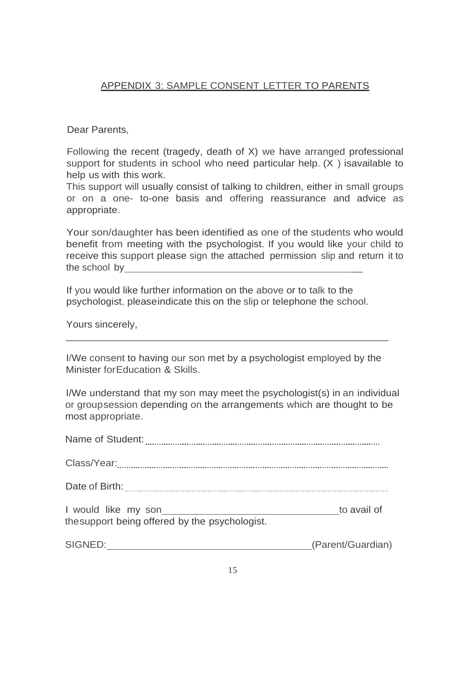#### APPENDIX 3: SAMPLE CONSENT LETTER TO PARENTS

Dear Parents,

Following the recent (tragedy, death of X) we have arranged professional support for students in school who need particular help. (X ) isavailable to help us with this work.

This support will usually consist of talking to children, either in small groups or on a one- to-one basis and offering reassurance and advice as appropriate.

Your son/daughter has been identified as one of the students who would benefit from meeting with the psychologist. If you would like your child to receive this support please sign the attached permission slip and return it to the school by

If you would like further information on the above or to talk to the psychologist, pleaseindicate this on the slip or telephone the school.

Yours sincerely,

I/We consent to having our son met by a psychologist employed by the Minister forEducation & Skills.

I/We understand that my son may meet the psychologist(s) in an individual or groupsession depending on the arrangements which are thought to be most appropriate.

| I would like my son <b>was a series of the series of the series of the series of the series of the series of the series of the series of the series of the series of the series of the series of the series of the series of the</b><br>the support being offered by the psychologist. | to avail of       |
|----------------------------------------------------------------------------------------------------------------------------------------------------------------------------------------------------------------------------------------------------------------------------------------|-------------------|
| SIGNED:<br><u> 1989 - Johann John Stone, markin film yn y brening yn y brening yn y brening yn y brening y brening yn y bre</u>                                                                                                                                                        | (Parent/Guardian) |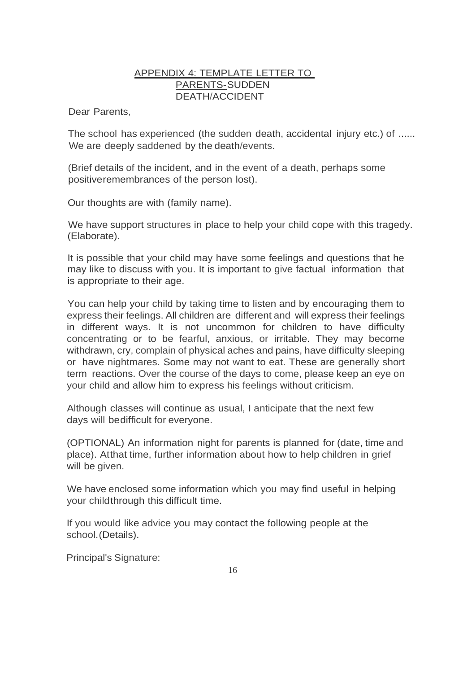### APPENDIX 4: TEMPLATE LETTER TO PARENTS-SUDDEN DEATH/ACCIDENT

Dear Parents,

The school has experienced (the sudden death, accidental injury etc.) of ...... We are deeply saddened by the death/events.

(Brief details of the incident, and in the event of a death, perhaps some positiveremembrances of the person lost).

Our thoughts are with (family name).

We have support structures in place to help your child cope with this tragedy. (Elaborate).

It is possible that your child may have some feelings and questions that he may like to discuss with you. It is important to give factual information that is appropriate to their age.

You can help your child by taking time to listen and by encouraging them to express their feelings. All children are different and will express their feelings in different ways. It is not uncommon for children to have difficulty concentrating or to be fearful, anxious, or irritable. They may become withdrawn, cry, complain of physical aches and pains, have difficulty sleeping or have nightmares. Some may not want to eat. These are generally short term reactions. Over the course of the days to come, please keep an eye on your child and allow him to express his feelings without criticism.

Although classes will continue as usual, I anticipate that the next few days will bedifficult for everyone.

(OPTIONAL) An information night for parents is planned for (date, time and place). Atthat time, further information about how to help children in grief will be given.

We have enclosed some information which you may find useful in helping your childthrough this difficult time.

If you would like advice you may contact the following people at the school.(Details).

Principal's Signature: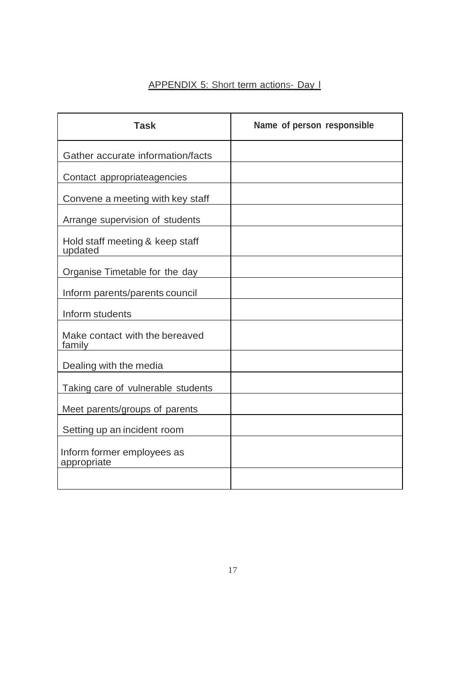## APPENDIX 5: Short term actions- Day l

| <b>Task</b>                                | Name of person responsible |
|--------------------------------------------|----------------------------|
| Gather accurate information/facts          |                            |
| Contact appropriateagencies                |                            |
| Convene a meeting with key staff           |                            |
| Arrange supervision of students            |                            |
| Hold staff meeting & keep staff<br>updated |                            |
| Organise Timetable for the day             |                            |
| Inform parents/parents council             |                            |
| Inform students                            |                            |
| Make contact with the bereaved<br>family   |                            |
| Dealing with the media                     |                            |
| Taking care of vulnerable students         |                            |
| Meet parents/groups of parents             |                            |
| Setting up an incident room                |                            |
| Inform former employees as<br>appropriate  |                            |
|                                            |                            |